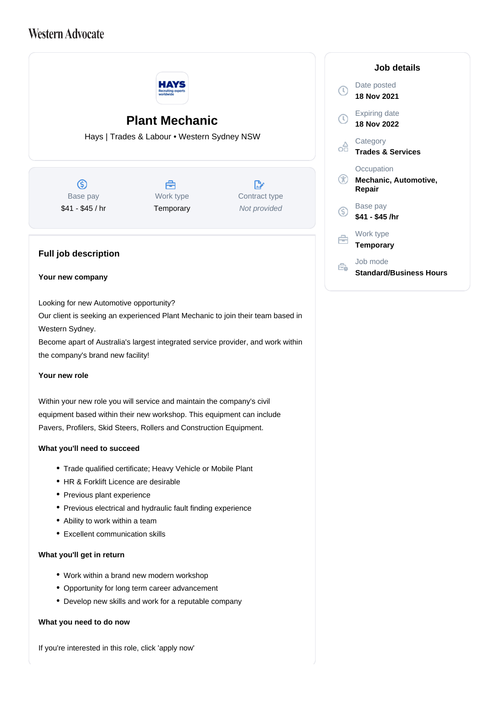## **Western Advocate**



Within your new role you will service and maintain the company's civil equipment based within their new workshop. This equipment can include Pavers, Profilers, Skid Steers, Rollers and Construction Equipment.

## **What you'll need to succeed**

- Trade qualified certificate; Heavy Vehicle or Mobile Plant
- HR & Forklift Licence are desirable
- Previous plant experience
- Previous electrical and hydraulic fault finding experience
- Ability to work within a team
- Excellent communication skills

## **What you'll get in return**

- Work within a brand new modern workshop
- Opportunity for long term career advancement
- Develop new skills and work for a reputable company

## **What you need to do now**

If you're interested in this role, click 'apply now'

|        | Job details                                   |
|--------|-----------------------------------------------|
| $\tau$ | Date posted<br><b>18 Nov 2021</b>             |
| O      | <b>Expiring date</b><br>18 Nov 2022           |
|        | Category<br><b>Trades &amp; Services</b>      |
| GD     | Occupation<br>Mechanic, Automotive,<br>Repair |
| S)     | Base pay<br>\$41 - \$45 /hr                   |
|        | Work type<br><b>Temporary</b>                 |
|        | Job mode<br>Standard/Business Hours           |